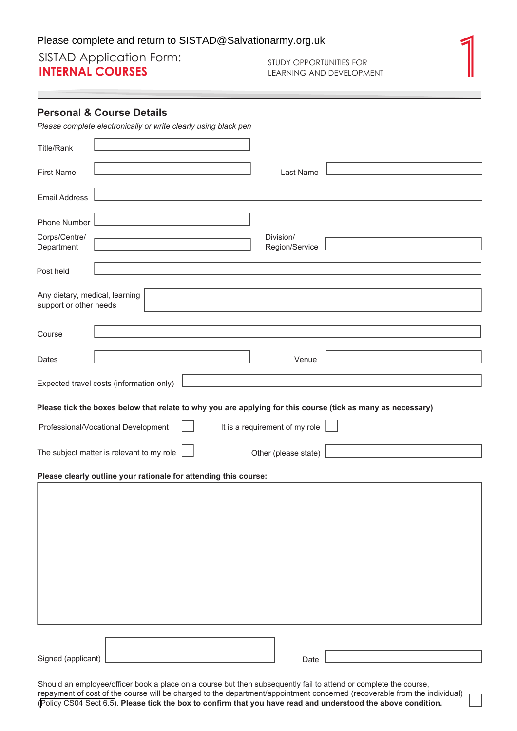## Please complete and return to SISTAD@Salvationarmy.org.uk<br>
SISTAD Application Form:<br>
INTERNAL COURSES<br>
LEARNING AND DEVELOPMENT **INTERNAL COURSES** STUDY OPPORTUNITIES FOR LEARNING AND DEVELOPMENT

## **Personal & Course Details**

| Please complete electronically or write clearly using black pen                                             |  |  |  |  |  |  |
|-------------------------------------------------------------------------------------------------------------|--|--|--|--|--|--|
| <b>Title/Rank</b>                                                                                           |  |  |  |  |  |  |
| <b>First Name</b><br>Last Name                                                                              |  |  |  |  |  |  |
| <b>Email Address</b>                                                                                        |  |  |  |  |  |  |
| Phone Number                                                                                                |  |  |  |  |  |  |
| Corps/Centre/<br>Division/<br>Department<br>Region/Service                                                  |  |  |  |  |  |  |
| Post held                                                                                                   |  |  |  |  |  |  |
| Any dietary, medical, learning<br>support or other needs                                                    |  |  |  |  |  |  |
| Course                                                                                                      |  |  |  |  |  |  |
| Venue<br>Dates                                                                                              |  |  |  |  |  |  |
| Expected travel costs (information only)                                                                    |  |  |  |  |  |  |
| Please tick the boxes below that relate to why you are applying for this course (tick as many as necessary) |  |  |  |  |  |  |
| It is a requirement of my role<br>Professional/Vocational Development                                       |  |  |  |  |  |  |
| The subject matter is relevant to my role<br>Other (please state)                                           |  |  |  |  |  |  |
| Please clearly outline your rationale for attending this course:                                            |  |  |  |  |  |  |
|                                                                                                             |  |  |  |  |  |  |
|                                                                                                             |  |  |  |  |  |  |
|                                                                                                             |  |  |  |  |  |  |
|                                                                                                             |  |  |  |  |  |  |
|                                                                                                             |  |  |  |  |  |  |
|                                                                                                             |  |  |  |  |  |  |
|                                                                                                             |  |  |  |  |  |  |

Signed (applicant)

Date

Should an employee/officer book a place on a course but then subsequently fail to attend or complete the course, repayment of cost of the course will be charged to the department/appointment concerned (recoverable from the individual) ([Policy CS04 Sect 6.5\)](https://netconsent.salvationarmy.org.uk/netconsent/MyActivity/Default.aspx?directLink=6b212fe6-f2c4-4504-890d-8dd2e8848884). **Please tick the box to confirm that you have read and understood the above condition.**